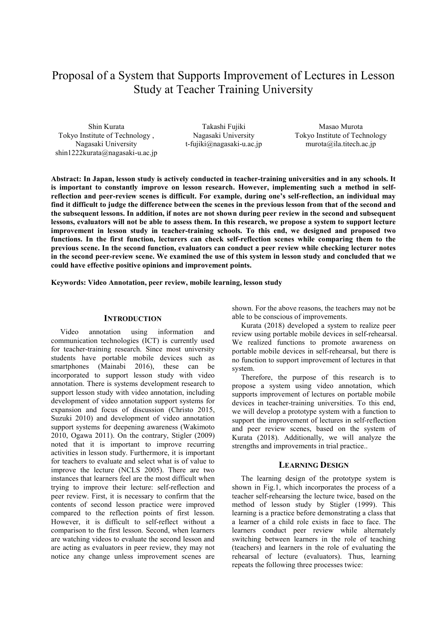# Proposal of a System that Supports Improvement of Lectures in Lesson Study at Teacher Training University

Shin Kurata Tokyo Institute of Technology , Nagasaki University shin1222kurata@nagasaki-u.ac.jp

Takashi Fujiki Nagasaki University t-fujiki@nagasaki-u.ac.jp

Masao Murota Tokyo Institute of Technology murota@ila.titech.ac.jp

**Abstract: In Japan, lesson study is actively conducted in teacher-training universities and in any schools. It is important to constantly improve on lesson research. However, implementing such a method in selfreflection and peer-review scenes is difficult. For example, during one's self-reflection, an individual may find it difficult to judge the difference between the scenes in the previous lesson from that of the second and the subsequent lessons. In addition, if notes are not shown during peer review in the second and subsequent lessons, evaluators will not be able to assess them. In this research, we propose a system to support lecture improvement in lesson study in teacher-training schools. To this end, we designed and proposed two functions. In the first function, lecturers can check self-reflection scenes while comparing them to the previous scene. In the second function, evaluators can conduct a peer review while checking lecturer notes in the second peer-review scene. We examined the use of this system in lesson study and concluded that we could have effective positive opinions and improvement points.** 

**Keywords: Video Annotation, peer review, mobile learning, lesson study**

# **INTRODUCTION**

Video annotation using information and communication technologies (ICT) is currently used for teacher-training research. Since most university students have portable mobile devices such as smartphones (Mainabi 2016), these can be incorporated to support lesson study with video annotation. There is systems development research to support lesson study with video annotation, including development of video annotation support systems for expansion and focus of discussion (Christo 2015, Suzuki 2010) and development of video annotation support systems for deepening awareness (Wakimoto 2010, Ogawa 2011). On the contrary, Stigler (2009) noted that it is important to improve recurring activities in lesson study. Furthermore, it is important for teachers to evaluate and select what is of value to improve the lecture (NCLS 2005). There are two instances that learners feel are the most difficult when trying to improve their lecture: self-reflection and peer review. First, it is necessary to confirm that the contents of second lesson practice were improved compared to the reflection points of first lesson. However, it is difficult to self-reflect without a comparison to the first lesson. Second, when learners are watching videos to evaluate the second lesson and are acting as evaluators in peer review, they may not notice any change unless improvement scenes are

shown. For the above reasons, the teachers may not be able to be conscious of improvements.

Kurata (2018) developed a system to realize peer review using portable mobile devices in self-rehearsal. We realized functions to promote awareness on portable mobile devices in self-rehearsal, but there is no function to support improvement of lectures in that system.

Therefore, the purpose of this research is to propose a system using video annotation, which supports improvement of lectures on portable mobile devices in teacher-training universities. To this end, we will develop a prototype system with a function to support the improvement of lectures in self-reflection and peer review scenes, based on the system of Kurata (2018). Additionally, we will analyze the strengths and improvements in trial practice..

#### **LEARNING DESIGN**

The learning design of the prototype system is shown in Fig.1, which incorporates the process of a teacher self-rehearsing the lecture twice, based on the method of lesson study by Stigler (1999). This learning is a practice before demonstrating a class that a learner of a child role exists in face to face. The learners conduct peer review while alternately switching between learners in the role of teaching (teachers) and learners in the role of evaluating the rehearsal of lecture (evaluators). Thus, learning repeats the following three processes twice: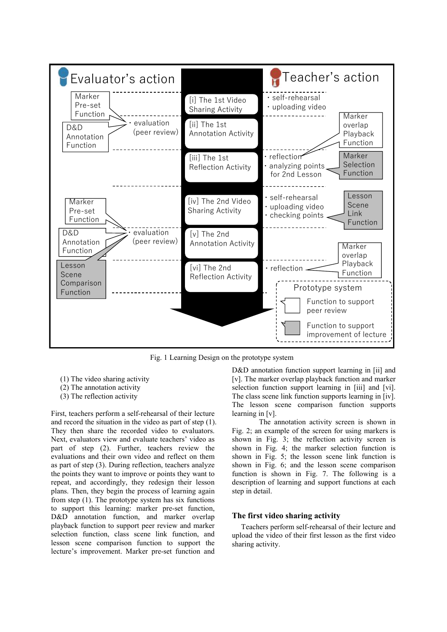

Fig. 1 Learning Design on the prototype system

- (1) The video sharing activity
- (2) The annotation activity
- (3) The reflection activity

First, teachers perform a self-rehearsal of their lecture and record the situation in the video as part of step (1). They then share the recorded video to evaluators. Next, evaluators view and evaluate teachers' video as part of step (2). Further, teachers review the evaluations and their own video and reflect on them as part of step (3). During reflection, teachers analyze the points they want to improve or points they want to repeat, and accordingly, they redesign their lesson plans. Then, they begin the process of learning again from step (1). The prototype system has six functions to support this learning: marker pre-set function, D&D annotation function, and marker overlap playback function to support peer review and marker selection function, class scene link function, and lesson scene comparison function to support the lecture's improvement. Marker pre-set function and

D&D annotation function support learning in [ii] and [v]. The marker overlap playback function and marker selection function support learning in [iii] and [vi]. The class scene link function supports learning in [iv]. The lesson scene comparison function supports learning in [v].

The annotation activity screen is shown in Fig. 2; an example of the screen for using markers is shown in Fig. 3; the reflection activity screen is shown in Fig. 4; the marker selection function is shown in Fig. 5; the lesson scene link function is shown in Fig. 6; and the lesson scene comparison function is shown in Fig. 7. The following is a description of learning and support functions at each step in detail.

# **The first video sharing activity**

Teachers perform self-rehearsal of their lecture and upload the video of their first lesson as the first video sharing activity.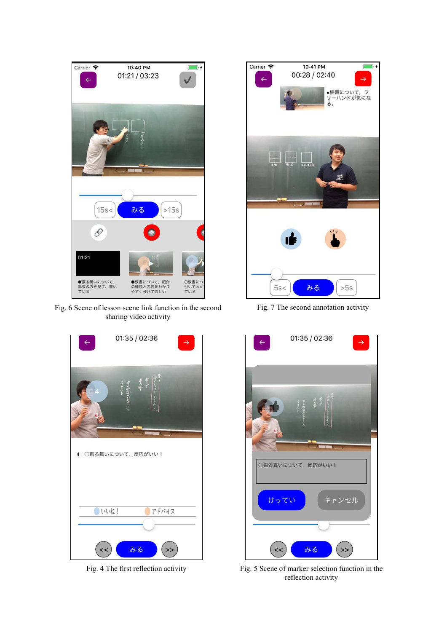

Fig. 6 Scene of lesson scene link function in the second Fig. 7 The second annotation activity sharing video activity





Fig. 7 The second annotation activity



Fig. 4 The first reflection activity Fig. 5 Scene of marker selection function in the reflection activity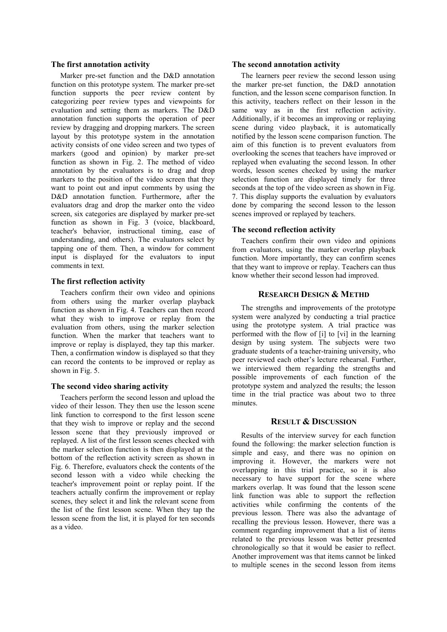#### **The first annotation activity**

Marker pre-set function and the D&D annotation function on this prototype system. The marker pre-set function supports the peer review content by categorizing peer review types and viewpoints for evaluation and setting them as markers. The D&D annotation function supports the operation of peer review by dragging and dropping markers. The screen layout by this prototype system in the annotation activity consists of one video screen and two types of markers (good and opinion) by marker pre-set function as shown in Fig. 2. The method of video annotation by the evaluators is to drag and drop markers to the position of the video screen that they want to point out and input comments by using the D&D annotation function. Furthermore, after the evaluators drag and drop the marker onto the video screen, six categories are displayed by marker pre-set function as shown in Fig. 3 (voice, blackboard, teacher's behavior, instructional timing, ease of understanding, and others). The evaluators select by tapping one of them. Then, a window for comment input is displayed for the evaluators to input comments in text.

#### **The first reflection activity**

Teachers confirm their own video and opinions from others using the marker overlap playback function as shown in Fig. 4. Teachers can then record what they wish to improve or replay from the evaluation from others, using the marker selection function. When the marker that teachers want to improve or replay is displayed, they tap this marker. Then, a confirmation window is displayed so that they can record the contents to be improved or replay as shown in Fig. 5.

## **The second video sharing activity**

Teachers perform the second lesson and upload the video of their lesson. They then use the lesson scene link function to correspond to the first lesson scene that they wish to improve or replay and the second lesson scene that they previously improved or replayed. A list of the first lesson scenes checked with the marker selection function is then displayed at the bottom of the reflection activity screen as shown in Fig. 6. Therefore, evaluators check the contents of the second lesson with a video while checking the teacher's improvement point or replay point. If the teachers actually confirm the improvement or replay scenes, they select it and link the relevant scene from the list of the first lesson scene. When they tap the lesson scene from the list, it is played for ten seconds as a video.

#### **The second annotation activity**

The learners peer review the second lesson using the marker pre-set function, the D&D annotation function, and the lesson scene comparison function. In this activity, teachers reflect on their lesson in the same way as in the first reflection activity. Additionally, if it becomes an improving or replaying scene during video playback, it is automatically notified by the lesson scene comparison function. The aim of this function is to prevent evaluators from overlooking the scenes that teachers have improved or replayed when evaluating the second lesson. In other words, lesson scenes checked by using the marker selection function are displayed timely for three seconds at the top of the video screen as shown in Fig. 7. This display supports the evaluation by evaluators done by comparing the second lesson to the lesson scenes improved or replayed by teachers.

### **The second reflection activity**

Teachers confirm their own video and opinions from evaluators, using the marker overlap playback function. More importantly, they can confirm scenes that they want to improve or replay. Teachers can thus know whether their second lesson had improved.

# **RESEARCH DESIGN & METHD**

The strengths and improvements of the prototype system were analyzed by conducting a trial practice using the prototype system. A trial practice was performed with the flow of [i] to [vi] in the learning design by using system. The subjects were two graduate students of a teacher-training university, who peer reviewed each other's lecture rehearsal. Further, we interviewed them regarding the strengths and possible improvements of each function of the prototype system and analyzed the results; the lesson time in the trial practice was about two to three minutes.

#### **RESULT & DISCUSSION**

Results of the interview survey for each function found the following: the marker selection function is simple and easy, and there was no opinion on improving it. However, the markers were not overlapping in this trial practice, so it is also necessary to have support for the scene where markers overlap. It was found that the lesson scene link function was able to support the reflection activities while confirming the contents of the previous lesson. There was also the advantage of recalling the previous lesson. However, there was a comment regarding improvement that a list of items related to the previous lesson was better presented chronologically so that it would be easier to reflect. Another improvement was that items cannot be linked to multiple scenes in the second lesson from items